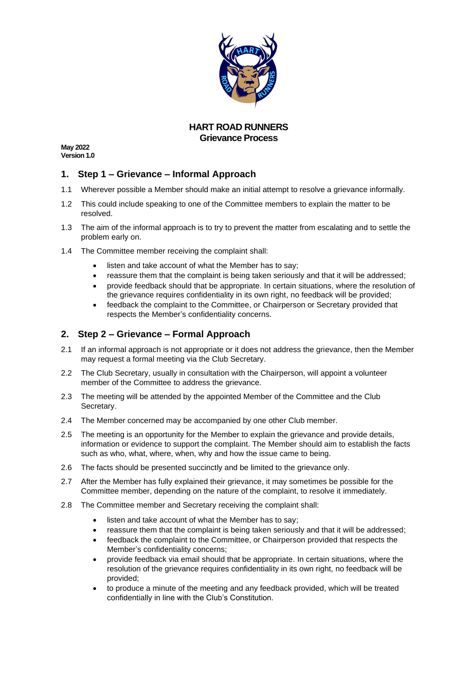

## **HART ROAD RUNNERS Grievance Process**

**May 2022 Version 1.0**

## **1. Step 1 – Grievance – Informal Approach**

- 1.1 Wherever possible a Member should make an initial attempt to resolve a grievance informally.
- 1.2 This could include speaking to one of the Committee members to explain the matter to be resolved.
- 1.3 The aim of the informal approach is to try to prevent the matter from escalating and to settle the problem early on.
- 1.4 The Committee member receiving the complaint shall:
	- listen and take account of what the Member has to say;
	- reassure them that the complaint is being taken seriously and that it will be addressed;
	- provide feedback should that be appropriate. In certain situations, where the resolution of the grievance requires confidentiality in its own right, no feedback will be provided;
	- feedback the complaint to the Committee, or Chairperson or Secretary provided that respects the Member's confidentiality concerns.

## **2. Step 2 – Grievance – Formal Approach**

- 2.1 If an informal approach is not appropriate or it does not address the grievance, then the Member may request a formal meeting via the Club Secretary.
- 2.2 The Club Secretary, usually in consultation with the Chairperson, will appoint a volunteer member of the Committee to address the grievance.
- 2.3 The meeting will be attended by the appointed Member of the Committee and the Club Secretary.
- 2.4 The Member concerned may be accompanied by one other Club member.
- 2.5 The meeting is an opportunity for the Member to explain the grievance and provide details, information or evidence to support the complaint. The Member should aim to establish the facts such as who, what, where, when, why and how the issue came to being.
- 2.6 The facts should be presented succinctly and be limited to the grievance only.
- 2.7 After the Member has fully explained their grievance, it may sometimes be possible for the Committee member, depending on the nature of the complaint, to resolve it immediately.
- 2.8 The Committee member and Secretary receiving the complaint shall:
	- listen and take account of what the Member has to say;
	- reassure them that the complaint is being taken seriously and that it will be addressed;
	- feedback the complaint to the Committee, or Chairperson provided that respects the Member's confidentiality concerns;
	- provide feedback via email should that be appropriate. In certain situations, where the resolution of the grievance requires confidentiality in its own right, no feedback will be provided;
	- to produce a minute of the meeting and any feedback provided, which will be treated confidentially in line with the Club's Constitution.